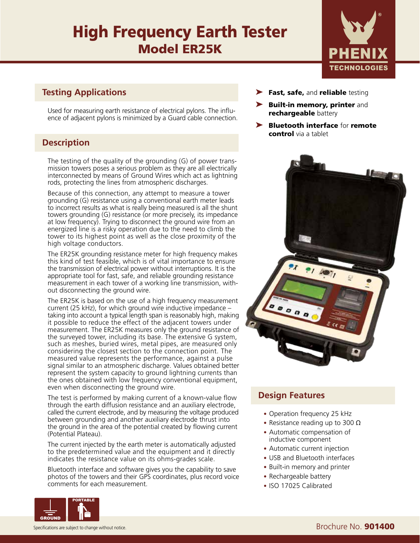# High Frequency Earth Tester Model ER25K



R

## **Testing Applications**

Used for measuring earth resistance of electrical pylons. The influence of adjacent pylons is minimized by a Guard cable connection.

# **Description**

The testing of the quality of the grounding (G) of power transmission towers poses a serious problem as they are all electrically interconnected by means of Ground Wires which act as lightning rods, protecting the lines from atmospheric discharges.

Because of this connection, any attempt to measure a tower grounding (G) resistance using a conventional earth meter leads to incorrect results as what is really being measured is all the shunt towers grounding (G) resistance (or more precisely, its impedance at low frequency). Trying to disconnect the ground wire from an energized line is a risky operation due to the need to climb the tower to its highest point as well as the close proximity of the high voltage conductors.

The ER25K grounding resistance meter for high frequency makes this kind of test feasible, which is of vital importance to ensure the transmission of electrical power without interruptions. It is the appropriate tool for fast, safe, and reliable grounding resistance measurement in each tower of a working line transmission, without disconnecting the ground wire.

The ER25K is based on the use of a high frequency measurement current (25 kHz), for which ground wire inductive impedance – taking into account a typical length span is reasonably high, making it possible to reduce the effect of the adjacent towers under measurement. The ER25K measures only the ground resistance of the surveyed tower, including its base. The extensive G system, such as meshes, buried wires, metal pipes, are measured only considering the closest section to the connection point. The measured value represents the performance, against a pulse signal similar to an atmospheric discharge. Values obtained better represent the system capacity to ground lightning currents than the ones obtained with low frequency conventional equipment, even when disconnecting the ground wire.

The test is performed by making current of a known-value flow through the earth diffusion resistance and an auxiliary electrode, called the current electrode, and by measuring the voltage produced between grounding and another auxiliary electrode thrust into the ground in the area of the potential created by flowing current (Potential Plateau).

The current injected by the earth meter is automatically adjusted to the predetermined value and the equipment and it directly indicates the resistance value on its ohms-grades scale.

Bluetooth interface and software gives you the capability to save photos of the towers and their GPS coordinates, plus record voice comments for each measurement.



- Fast, safe, and reliable testing
- ▶ Built-in memory, printer and rechargeable battery
- ➤ Bluetooth interface for remote control via a tablet



## **Design Features**

- Operation frequency 25 kHz
- Resistance reading up to 300  $\Omega$
- Automatic compensation of inductive component
- Automatic current injection
- USB and Bluetooth interfaces
- Built-in memory and printer
- Rechargeable battery
- ISO 17025 Calibrated